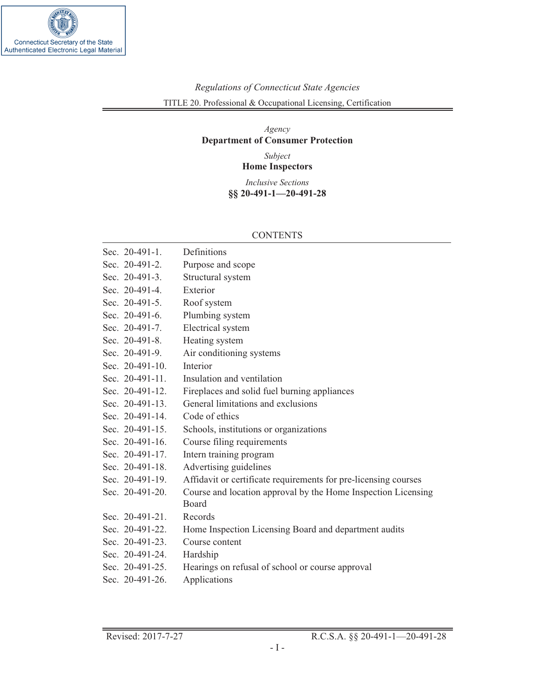

# *Regulations of Connecticut State Agencies* TITLE 20. Professional & Occupational Licensing, Certification

# *Agency* **Department of Consumer Protection**

*Subject* **Home Inspectors**

*Inclusive Sections* **§§ 20-491-1—20-491-28**

### CONTENTS

| Sec. 20-491-1.  | Definitions                                                     |  |
|-----------------|-----------------------------------------------------------------|--|
| Sec. 20-491-2.  | Purpose and scope                                               |  |
| Sec. 20-491-3.  | Structural system                                               |  |
| Sec. 20-491-4.  | Exterior                                                        |  |
| Sec. 20-491-5.  | Roof system                                                     |  |
| Sec. 20-491-6.  | Plumbing system                                                 |  |
| Sec. 20-491-7.  | Electrical system                                               |  |
| Sec. 20-491-8.  | Heating system                                                  |  |
| Sec. 20-491-9.  | Air conditioning systems                                        |  |
| Sec. 20-491-10. | Interior                                                        |  |
| Sec. 20-491-11. | Insulation and ventilation                                      |  |
| Sec. 20-491-12. | Fireplaces and solid fuel burning appliances                    |  |
| Sec. 20-491-13. | General limitations and exclusions                              |  |
| Sec. 20-491-14. | Code of ethics                                                  |  |
| Sec. 20-491-15. | Schools, institutions or organizations                          |  |
| Sec. 20-491-16. | Course filing requirements                                      |  |
| Sec. 20-491-17. | Intern training program                                         |  |
| Sec. 20-491-18. | Advertising guidelines                                          |  |
| Sec. 20-491-19. | Affidavit or certificate requirements for pre-licensing courses |  |
| Sec. 20-491-20. | Course and location approval by the Home Inspection Licensing   |  |
|                 | <b>Board</b>                                                    |  |
| Sec. 20-491-21. | Records                                                         |  |
| Sec. 20-491-22. | Home Inspection Licensing Board and department audits           |  |
| Sec. 20-491-23. | Course content                                                  |  |
| Sec. 20-491-24. | Hardship                                                        |  |
| Sec. 20-491-25. | Hearings on refusal of school or course approval                |  |
| Sec. 20-491-26. | Applications                                                    |  |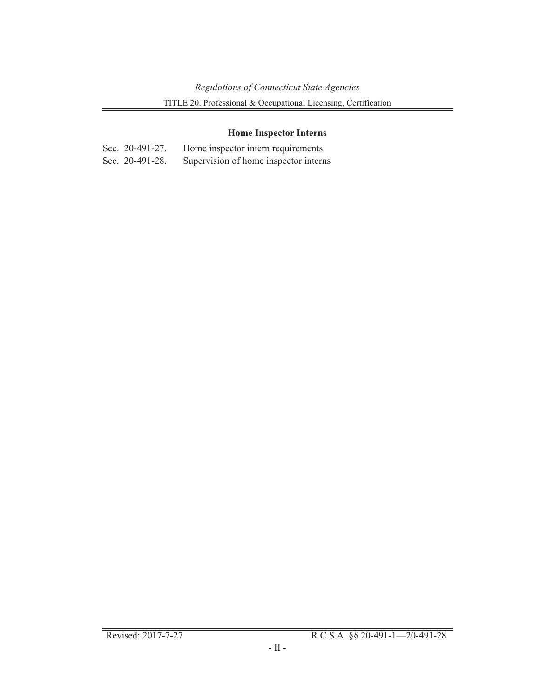# **Home Inspector Interns**

| Sec. $20-491-27$ . | Home inspector intern requirements    |
|--------------------|---------------------------------------|
| Sec. 20-491-28.    | Supervision of home inspector interns |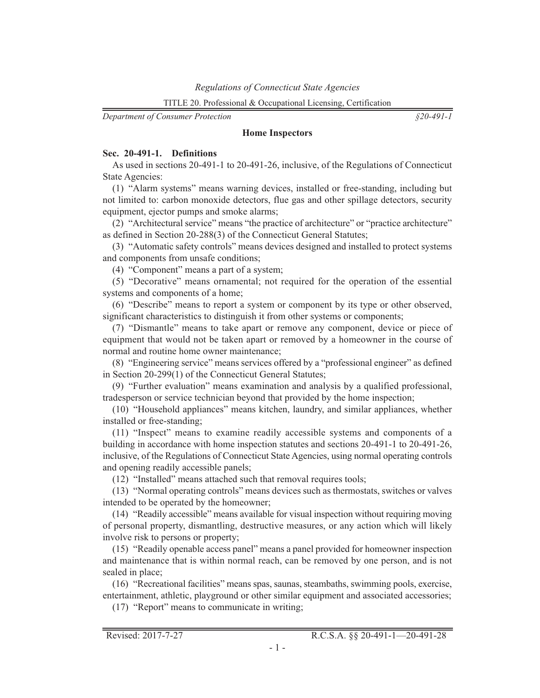*Department of Consumer Protection*

*§20-491-1*

#### **Home Inspectors**

#### **Sec. 20-491-1. Definitions**

As used in sections 20-491-1 to 20-491-26, inclusive, of the Regulations of Connecticut State Agencies:

(1) "Alarm systems" means warning devices, installed or free-standing, including but not limited to: carbon monoxide detectors, flue gas and other spillage detectors, security equipment, ejector pumps and smoke alarms;

(2) "Architectural service" means "the practice of architecture" or "practice architecture" as defined in Section 20-288(3) of the Connecticut General Statutes;

(3) "Automatic safety controls" means devices designed and installed to protect systems and components from unsafe conditions;

(4) "Component" means a part of a system;

(5) "Decorative" means ornamental; not required for the operation of the essential systems and components of a home;

(6) "Describe" means to report a system or component by its type or other observed, significant characteristics to distinguish it from other systems or components;

(7) "Dismantle" means to take apart or remove any component, device or piece of equipment that would not be taken apart or removed by a homeowner in the course of normal and routine home owner maintenance;

(8) "Engineering service" means services offered by a "professional engineer" as defined in Section 20-299(1) of the Connecticut General Statutes;

(9) "Further evaluation" means examination and analysis by a qualified professional, tradesperson or service technician beyond that provided by the home inspection;

(10) "Household appliances" means kitchen, laundry, and similar appliances, whether installed or free-standing;

(11) "Inspect" means to examine readily accessible systems and components of a building in accordance with home inspection statutes and sections 20-491-1 to 20-491-26, inclusive, of the Regulations of Connecticut State Agencies, using normal operating controls and opening readily accessible panels;

(12) "Installed" means attached such that removal requires tools;

(13) "Normal operating controls" means devices such as thermostats, switches or valves intended to be operated by the homeowner;

(14) "Readily accessible" means available for visual inspection without requiring moving of personal property, dismantling, destructive measures, or any action which will likely involve risk to persons or property;

(15) "Readily openable access panel" means a panel provided for homeowner inspection and maintenance that is within normal reach, can be removed by one person, and is not sealed in place;

(16) "Recreational facilities" means spas, saunas, steambaths, swimming pools, exercise, entertainment, athletic, playground or other similar equipment and associated accessories;

(17) "Report" means to communicate in writing;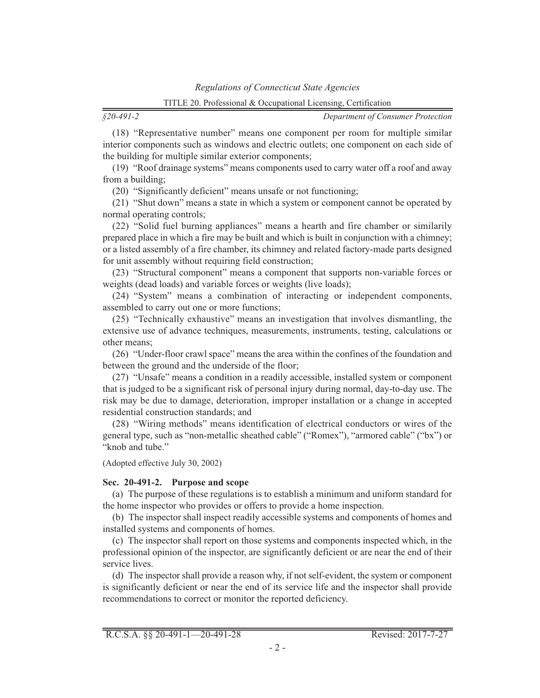*§20-491-2*

*Department of Consumer Protection*

(18) "Representative number" means one component per room for multiple similar interior components such as windows and electric outlets; one component on each side of the building for multiple similar exterior components;

(19) "Roof drainage systems" means components used to carry water off a roof and away from a building;

(20) "Significantly deficient" means unsafe or not functioning;

(21) "Shut down" means a state in which a system or component cannot be operated by normal operating controls;

(22) "Solid fuel burning appliances" means a hearth and fire chamber or similarily prepared place in which a fire may be built and which is built in conjunction with a chimney; or a listed assembly of a fire chamber, its chimney and related factory-made parts designed for unit assembly without requiring field construction;

(23) "Structural component" means a component that supports non-variable forces or weights (dead loads) and variable forces or weights (live loads);

(24) "System" means a combination of interacting or independent components, assembled to carry out one or more functions;

(25) "Technically exhaustive" means an investigation that involves dismantling, the extensive use of advance techniques, measurements, instruments, testing, calculations or other means;

(26) "Under-floor crawl space" means the area within the confines of the foundation and between the ground and the underside of the floor;

(27) "Unsafe" means a condition in a readily accessible, installed system or component that is judged to be a significant risk of personal injury during normal, day-to-day use. The risk may be due to damage, deterioration, improper installation or a change in accepted residential construction standards; and

(28) "Wiring methods" means identification of electrical conductors or wires of the general type, such as "non-metallic sheathed cable" ("Romex"), "armored cable" ("bx") or "knob and tube."

(Adopted effective July 30, 2002)

#### **Sec. 20-491-2. Purpose and scope**

(a) The purpose of these regulations is to establish a minimum and uniform standard for the home inspector who provides or offers to provide a home inspection.

(b) The inspector shall inspect readily accessible systems and components of homes and installed systems and components of homes.

(c) The inspector shall report on those systems and components inspected which, in the professional opinion of the inspector, are significantly deficient or are near the end of their service lives.

(d) The inspector shall provide a reason why, if not self-evident, the system or component is significantly deficient or near the end of its service life and the inspector shall provide recommendations to correct or monitor the reported deficiency.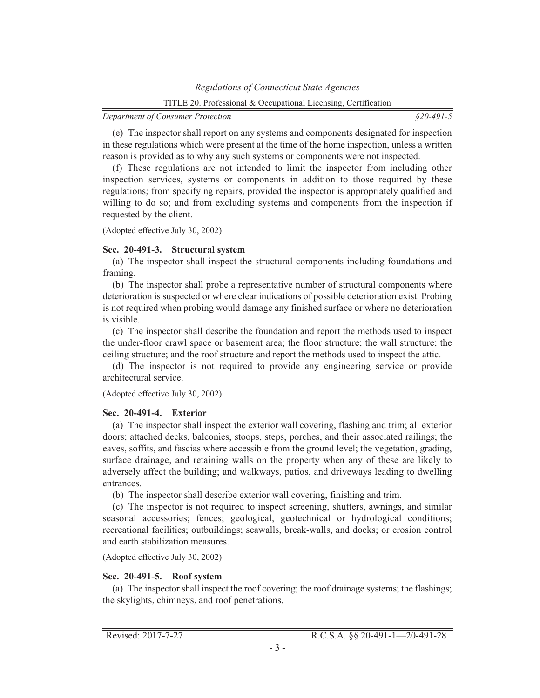(e) The inspector shall report on any systems and components designated for inspection in these regulations which were present at the time of the home inspection, unless a written reason is provided as to why any such systems or components were not inspected.

(f) These regulations are not intended to limit the inspector from including other inspection services, systems or components in addition to those required by these regulations; from specifying repairs, provided the inspector is appropriately qualified and willing to do so; and from excluding systems and components from the inspection if requested by the client.

(Adopted effective July 30, 2002)

# **Sec. 20-491-3. Structural system**

(a) The inspector shall inspect the structural components including foundations and framing.

(b) The inspector shall probe a representative number of structural components where deterioration is suspected or where clear indications of possible deterioration exist. Probing is not required when probing would damage any finished surface or where no deterioration is visible.

(c) The inspector shall describe the foundation and report the methods used to inspect the under-floor crawl space or basement area; the floor structure; the wall structure; the ceiling structure; and the roof structure and report the methods used to inspect the attic.

(d) The inspector is not required to provide any engineering service or provide architectural service.

### (Adopted effective July 30, 2002)

# **Sec. 20-491-4. Exterior**

(a) The inspector shall inspect the exterior wall covering, flashing and trim; all exterior doors; attached decks, balconies, stoops, steps, porches, and their associated railings; the eaves, soffits, and fascias where accessible from the ground level; the vegetation, grading, surface drainage, and retaining walls on the property when any of these are likely to adversely affect the building; and walkways, patios, and driveways leading to dwelling entrances.

(b) The inspector shall describe exterior wall covering, finishing and trim.

(c) The inspector is not required to inspect screening, shutters, awnings, and similar seasonal accessories; fences; geological, geotechnical or hydrological conditions; recreational facilities; outbuildings; seawalls, break-walls, and docks; or erosion control and earth stabilization measures.

(Adopted effective July 30, 2002)

# **Sec. 20-491-5. Roof system**

(a) The inspector shall inspect the roof covering; the roof drainage systems; the flashings; the skylights, chimneys, and roof penetrations.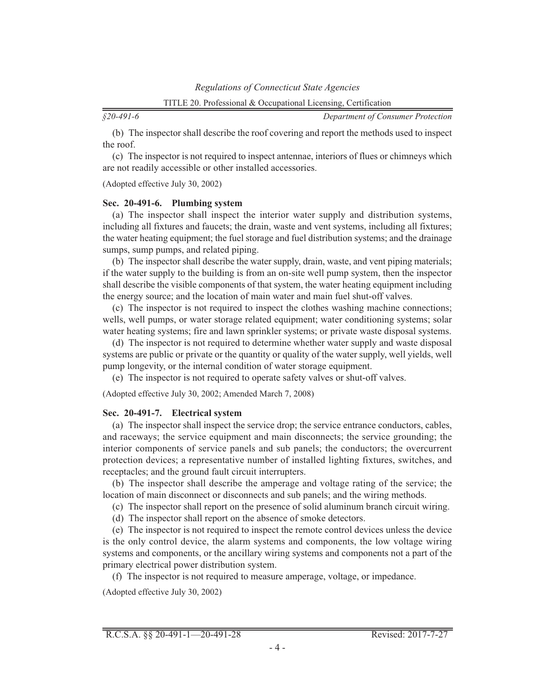*§20-491-6*

*Department of Consumer Protection*

(b) The inspector shall describe the roof covering and report the methods used to inspect the roof.

(c) The inspector is not required to inspect antennae, interiors of flues or chimneys which are not readily accessible or other installed accessories.

(Adopted effective July 30, 2002)

#### **Sec. 20-491-6. Plumbing system**

(a) The inspector shall inspect the interior water supply and distribution systems, including all fixtures and faucets; the drain, waste and vent systems, including all fixtures; the water heating equipment; the fuel storage and fuel distribution systems; and the drainage sumps, sump pumps, and related piping.

(b) The inspector shall describe the water supply, drain, waste, and vent piping materials; if the water supply to the building is from an on-site well pump system, then the inspector shall describe the visible components of that system, the water heating equipment including the energy source; and the location of main water and main fuel shut-off valves.

(c) The inspector is not required to inspect the clothes washing machine connections; wells, well pumps, or water storage related equipment; water conditioning systems; solar water heating systems; fire and lawn sprinkler systems; or private waste disposal systems.

(d) The inspector is not required to determine whether water supply and waste disposal systems are public or private or the quantity or quality of the water supply, well yields, well pump longevity, or the internal condition of water storage equipment.

(e) The inspector is not required to operate safety valves or shut-off valves.

(Adopted effective July 30, 2002; Amended March 7, 2008)

### **Sec. 20-491-7. Electrical system**

(a) The inspector shall inspect the service drop; the service entrance conductors, cables, and raceways; the service equipment and main disconnects; the service grounding; the interior components of service panels and sub panels; the conductors; the overcurrent protection devices; a representative number of installed lighting fixtures, switches, and receptacles; and the ground fault circuit interrupters.

(b) The inspector shall describe the amperage and voltage rating of the service; the location of main disconnect or disconnects and sub panels; and the wiring methods.

(c) The inspector shall report on the presence of solid aluminum branch circuit wiring.

(d) The inspector shall report on the absence of smoke detectors.

(e) The inspector is not required to inspect the remote control devices unless the device is the only control device, the alarm systems and components, the low voltage wiring systems and components, or the ancillary wiring systems and components not a part of the primary electrical power distribution system.

(f) The inspector is not required to measure amperage, voltage, or impedance.

(Adopted effective July 30, 2002)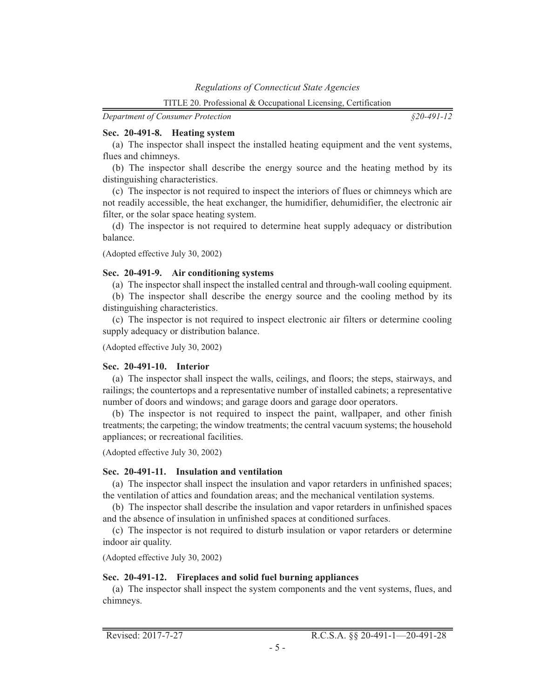*§20-491-12*

### **Sec. 20-491-8. Heating system**

(a) The inspector shall inspect the installed heating equipment and the vent systems, flues and chimneys.

(b) The inspector shall describe the energy source and the heating method by its distinguishing characteristics.

(c) The inspector is not required to inspect the interiors of flues or chimneys which are not readily accessible, the heat exchanger, the humidifier, dehumidifier, the electronic air filter, or the solar space heating system.

(d) The inspector is not required to determine heat supply adequacy or distribution balance.

(Adopted effective July 30, 2002)

### **Sec. 20-491-9. Air conditioning systems**

(a) The inspector shall inspect the installed central and through-wall cooling equipment.

(b) The inspector shall describe the energy source and the cooling method by its distinguishing characteristics.

(c) The inspector is not required to inspect electronic air filters or determine cooling supply adequacy or distribution balance.

(Adopted effective July 30, 2002)

### **Sec. 20-491-10. Interior**

(a) The inspector shall inspect the walls, ceilings, and floors; the steps, stairways, and railings; the countertops and a representative number of installed cabinets; a representative number of doors and windows; and garage doors and garage door operators.

(b) The inspector is not required to inspect the paint, wallpaper, and other finish treatments; the carpeting; the window treatments; the central vacuum systems; the household appliances; or recreational facilities.

(Adopted effective July 30, 2002)

# **Sec. 20-491-11. Insulation and ventilation**

(a) The inspector shall inspect the insulation and vapor retarders in unfinished spaces; the ventilation of attics and foundation areas; and the mechanical ventilation systems.

(b) The inspector shall describe the insulation and vapor retarders in unfinished spaces and the absence of insulation in unfinished spaces at conditioned surfaces.

(c) The inspector is not required to disturb insulation or vapor retarders or determine indoor air quality.

(Adopted effective July 30, 2002)

# **Sec. 20-491-12. Fireplaces and solid fuel burning appliances**

(a) The inspector shall inspect the system components and the vent systems, flues, and chimneys.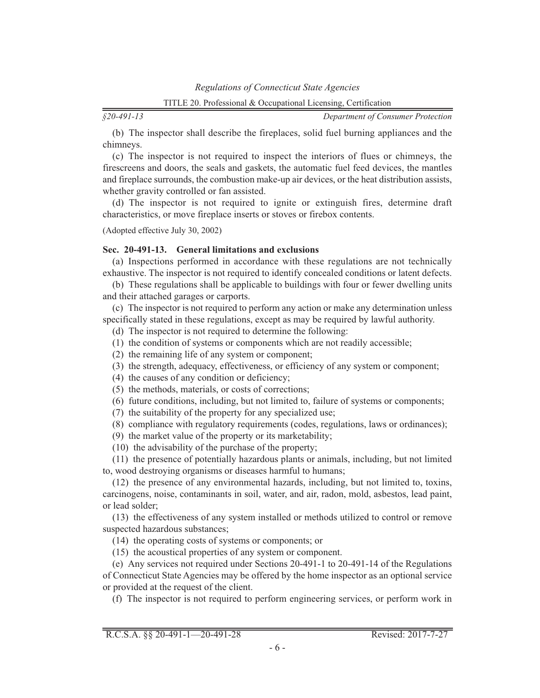*§20-491-13*

*Department of Consumer Protection*

(b) The inspector shall describe the fireplaces, solid fuel burning appliances and the chimneys.

(c) The inspector is not required to inspect the interiors of flues or chimneys, the firescreens and doors, the seals and gaskets, the automatic fuel feed devices, the mantles and fireplace surrounds, the combustion make-up air devices, or the heat distribution assists, whether gravity controlled or fan assisted.

(d) The inspector is not required to ignite or extinguish fires, determine draft characteristics, or move fireplace inserts or stoves or firebox contents.

(Adopted effective July 30, 2002)

### **Sec. 20-491-13. General limitations and exclusions**

(a) Inspections performed in accordance with these regulations are not technically exhaustive. The inspector is not required to identify concealed conditions or latent defects.

(b) These regulations shall be applicable to buildings with four or fewer dwelling units and their attached garages or carports.

(c) The inspector is not required to perform any action or make any determination unless specifically stated in these regulations, except as may be required by lawful authority.

- (d) The inspector is not required to determine the following:
- (1) the condition of systems or components which are not readily accessible;
- (2) the remaining life of any system or component;
- (3) the strength, adequacy, effectiveness, or efficiency of any system or component;
- (4) the causes of any condition or deficiency;
- (5) the methods, materials, or costs of corrections;
- (6) future conditions, including, but not limited to, failure of systems or components;
- (7) the suitability of the property for any specialized use;
- (8) compliance with regulatory requirements (codes, regulations, laws or ordinances);
- (9) the market value of the property or its marketability;
- (10) the advisability of the purchase of the property;

(11) the presence of potentially hazardous plants or animals, including, but not limited to, wood destroying organisms or diseases harmful to humans;

(12) the presence of any environmental hazards, including, but not limited to, toxins, carcinogens, noise, contaminants in soil, water, and air, radon, mold, asbestos, lead paint, or lead solder;

(13) the effectiveness of any system installed or methods utilized to control or remove suspected hazardous substances;

(14) the operating costs of systems or components; or

(15) the acoustical properties of any system or component.

(e) Any services not required under Sections 20-491-1 to 20-491-14 of the Regulations of Connecticut State Agencies may be offered by the home inspector as an optional service or provided at the request of the client.

(f) The inspector is not required to perform engineering services, or perform work in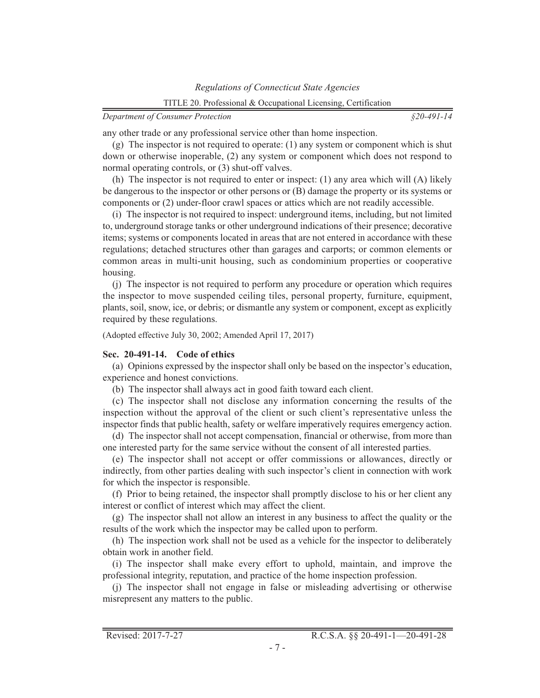*§20-491-14*

any other trade or any professional service other than home inspection.

(g) The inspector is not required to operate: (1) any system or component which is shut down or otherwise inoperable, (2) any system or component which does not respond to normal operating controls, or (3) shut-off valves.

(h) The inspector is not required to enter or inspect: (1) any area which will (A) likely be dangerous to the inspector or other persons or (B) damage the property or its systems or components or (2) under-floor crawl spaces or attics which are not readily accessible.

(i) The inspector is not required to inspect: underground items, including, but not limited to, underground storage tanks or other underground indications of their presence; decorative items; systems or components located in areas that are not entered in accordance with these regulations; detached structures other than garages and carports; or common elements or common areas in multi-unit housing, such as condominium properties or cooperative housing.

(j) The inspector is not required to perform any procedure or operation which requires the inspector to move suspended ceiling tiles, personal property, furniture, equipment, plants, soil, snow, ice, or debris; or dismantle any system or component, except as explicitly required by these regulations.

(Adopted effective July 30, 2002; Amended April 17, 2017)

### **Sec. 20-491-14. Code of ethics**

(a) Opinions expressed by the inspector shall only be based on the inspector's education, experience and honest convictions.

(b) The inspector shall always act in good faith toward each client.

(c) The inspector shall not disclose any information concerning the results of the inspection without the approval of the client or such client's representative unless the inspector finds that public health, safety or welfare imperatively requires emergency action.

(d) The inspector shall not accept compensation, financial or otherwise, from more than one interested party for the same service without the consent of all interested parties.

(e) The inspector shall not accept or offer commissions or allowances, directly or indirectly, from other parties dealing with such inspector's client in connection with work for which the inspector is responsible.

(f) Prior to being retained, the inspector shall promptly disclose to his or her client any interest or conflict of interest which may affect the client.

(g) The inspector shall not allow an interest in any business to affect the quality or the results of the work which the inspector may be called upon to perform.

(h) The inspection work shall not be used as a vehicle for the inspector to deliberately obtain work in another field.

(i) The inspector shall make every effort to uphold, maintain, and improve the professional integrity, reputation, and practice of the home inspection profession.

(j) The inspector shall not engage in false or misleading advertising or otherwise misrepresent any matters to the public.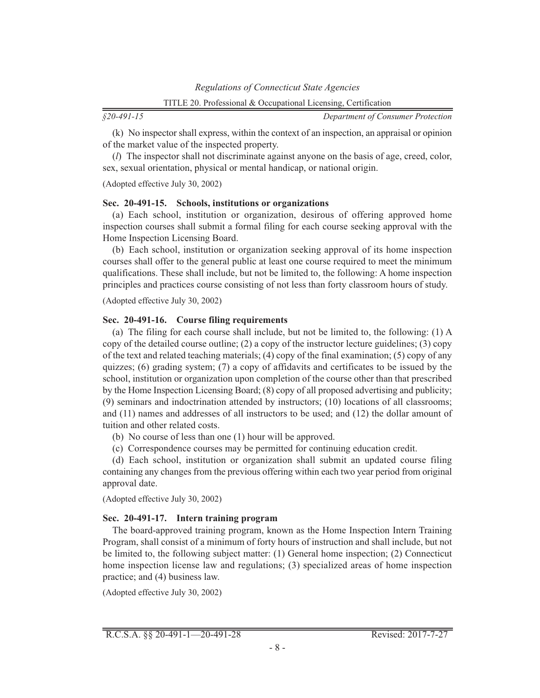*§20-491-15*

*Department of Consumer Protection*

(k) No inspector shall express, within the context of an inspection, an appraisal or opinion of the market value of the inspected property.

(*l*) The inspector shall not discriminate against anyone on the basis of age, creed, color, sex, sexual orientation, physical or mental handicap, or national origin.

(Adopted effective July 30, 2002)

#### **Sec. 20-491-15. Schools, institutions or organizations**

(a) Each school, institution or organization, desirous of offering approved home inspection courses shall submit a formal filing for each course seeking approval with the Home Inspection Licensing Board.

(b) Each school, institution or organization seeking approval of its home inspection courses shall offer to the general public at least one course required to meet the minimum qualifications. These shall include, but not be limited to, the following: A home inspection principles and practices course consisting of not less than forty classroom hours of study.

(Adopted effective July 30, 2002)

#### **Sec. 20-491-16. Course filing requirements**

(a) The filing for each course shall include, but not be limited to, the following: (1) A copy of the detailed course outline; (2) a copy of the instructor lecture guidelines; (3) copy of the text and related teaching materials; (4) copy of the final examination; (5) copy of any quizzes; (6) grading system; (7) a copy of affidavits and certificates to be issued by the school, institution or organization upon completion of the course other than that prescribed by the Home Inspection Licensing Board; (8) copy of all proposed advertising and publicity; (9) seminars and indoctrination attended by instructors; (10) locations of all classrooms; and (11) names and addresses of all instructors to be used; and (12) the dollar amount of tuition and other related costs.

(b) No course of less than one (1) hour will be approved.

(c) Correspondence courses may be permitted for continuing education credit.

(d) Each school, institution or organization shall submit an updated course filing containing any changes from the previous offering within each two year period from original approval date.

(Adopted effective July 30, 2002)

### **Sec. 20-491-17. Intern training program**

The board-approved training program, known as the Home Inspection Intern Training Program, shall consist of a minimum of forty hours of instruction and shall include, but not be limited to, the following subject matter: (1) General home inspection; (2) Connecticut home inspection license law and regulations; (3) specialized areas of home inspection practice; and (4) business law.

(Adopted effective July 30, 2002)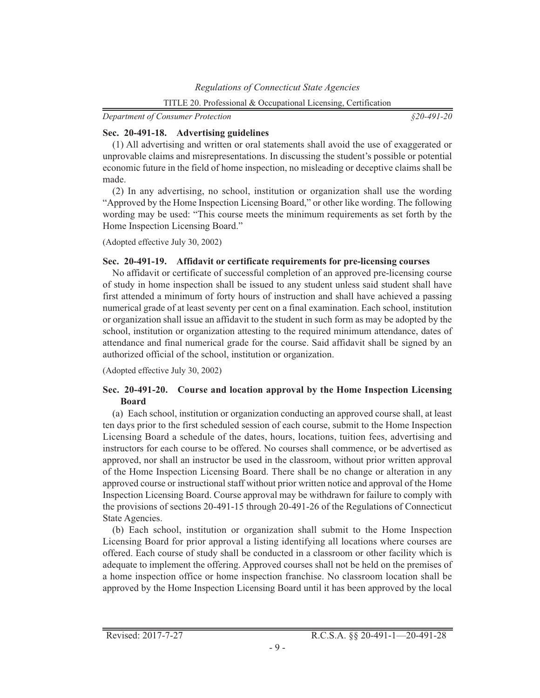*§20-491-20*

# **Sec. 20-491-18. Advertising guidelines**

(1) All advertising and written or oral statements shall avoid the use of exaggerated or unprovable claims and misrepresentations. In discussing the student's possible or potential economic future in the field of home inspection, no misleading or deceptive claims shall be made.

(2) In any advertising, no school, institution or organization shall use the wording "Approved by the Home Inspection Licensing Board," or other like wording. The following wording may be used: "This course meets the minimum requirements as set forth by the Home Inspection Licensing Board."

(Adopted effective July 30, 2002)

# **Sec. 20-491-19. Affidavit or certificate requirements for pre-licensing courses**

No affidavit or certificate of successful completion of an approved pre-licensing course of study in home inspection shall be issued to any student unless said student shall have first attended a minimum of forty hours of instruction and shall have achieved a passing numerical grade of at least seventy per cent on a final examination. Each school, institution or organization shall issue an affidavit to the student in such form as may be adopted by the school, institution or organization attesting to the required minimum attendance, dates of attendance and final numerical grade for the course. Said affidavit shall be signed by an authorized official of the school, institution or organization.

(Adopted effective July 30, 2002)

# **Sec. 20-491-20. Course and location approval by the Home Inspection Licensing Board**

(a) Each school, institution or organization conducting an approved course shall, at least ten days prior to the first scheduled session of each course, submit to the Home Inspection Licensing Board a schedule of the dates, hours, locations, tuition fees, advertising and instructors for each course to be offered. No courses shall commence, or be advertised as approved, nor shall an instructor be used in the classroom, without prior written approval of the Home Inspection Licensing Board. There shall be no change or alteration in any approved course or instructional staff without prior written notice and approval of the Home Inspection Licensing Board. Course approval may be withdrawn for failure to comply with the provisions of sections 20-491-15 through 20-491-26 of the Regulations of Connecticut State Agencies.

(b) Each school, institution or organization shall submit to the Home Inspection Licensing Board for prior approval a listing identifying all locations where courses are offered. Each course of study shall be conducted in a classroom or other facility which is adequate to implement the offering. Approved courses shall not be held on the premises of a home inspection office or home inspection franchise. No classroom location shall be approved by the Home Inspection Licensing Board until it has been approved by the local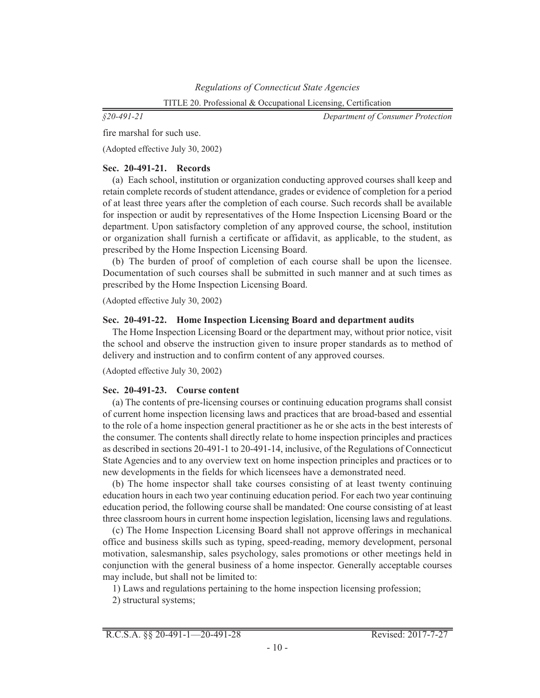*§20-491-21*

*Department of Consumer Protection*

fire marshal for such use.

(Adopted effective July 30, 2002)

# **Sec. 20-491-21. Records**

(a) Each school, institution or organization conducting approved courses shall keep and retain complete records of student attendance, grades or evidence of completion for a period of at least three years after the completion of each course. Such records shall be available for inspection or audit by representatives of the Home Inspection Licensing Board or the department. Upon satisfactory completion of any approved course, the school, institution or organization shall furnish a certificate or affidavit, as applicable, to the student, as prescribed by the Home Inspection Licensing Board.

(b) The burden of proof of completion of each course shall be upon the licensee. Documentation of such courses shall be submitted in such manner and at such times as prescribed by the Home Inspection Licensing Board.

(Adopted effective July 30, 2002)

# **Sec. 20-491-22. Home Inspection Licensing Board and department audits**

The Home Inspection Licensing Board or the department may, without prior notice, visit the school and observe the instruction given to insure proper standards as to method of delivery and instruction and to confirm content of any approved courses.

(Adopted effective July 30, 2002)

# **Sec. 20-491-23. Course content**

(a) The contents of pre-licensing courses or continuing education programs shall consist of current home inspection licensing laws and practices that are broad-based and essential to the role of a home inspection general practitioner as he or she acts in the best interests of the consumer. The contents shall directly relate to home inspection principles and practices as described in sections 20-491-1 to 20-491-14, inclusive, of the Regulations of Connecticut State Agencies and to any overview text on home inspection principles and practices or to new developments in the fields for which licensees have a demonstrated need.

(b) The home inspector shall take courses consisting of at least twenty continuing education hours in each two year continuing education period. For each two year continuing education period, the following course shall be mandated: One course consisting of at least three classroom hours in current home inspection legislation, licensing laws and regulations.

(c) The Home Inspection Licensing Board shall not approve offerings in mechanical office and business skills such as typing, speed-reading, memory development, personal motivation, salesmanship, sales psychology, sales promotions or other meetings held in conjunction with the general business of a home inspector. Generally acceptable courses may include, but shall not be limited to:

1) Laws and regulations pertaining to the home inspection licensing profession;

2) structural systems;

R.C.S.A. §§ 20-491-1—20-491-28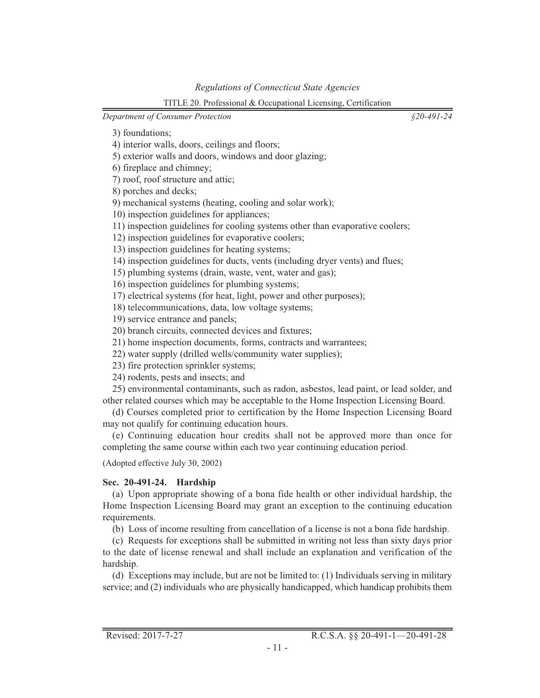*§20-491-24*

3) foundations;

4) interior walls, doors, ceilings and floors;

5) exterior walls and doors, windows and door glazing;

6) fireplace and chimney;

7) roof, roof structure and attic;

8) porches and decks;

9) mechanical systems (heating, cooling and solar work);

10) inspection guidelines for appliances;

11) inspection guidelines for cooling systems other than evaporative coolers;

12) inspection guidelines for evaporative coolers;

13) inspection guidelines for heating systems;

14) inspection guidelines for ducts, vents (including dryer vents) and flues;

15) plumbing systems (drain, waste, vent, water and gas);

16) inspection guidelines for plumbing systems;

17) electrical systems (for heat, light, power and other purposes);

18) telecommunications, data, low voltage systems;

19) service entrance and panels;

20) branch circuits, connected devices and fixtures;

21) home inspection documents, forms, contracts and warrantees;

22) water supply (drilled wells/community water supplies);

23) fire protection sprinkler systems;

24) rodents, pests and insects; and

25) environmental contaminants, such as radon, asbestos, lead paint, or lead solder, and other related courses which may be acceptable to the Home Inspection Licensing Board.

(d) Courses completed prior to certification by the Home Inspection Licensing Board may not qualify for continuing education hours.

(e) Continuing education hour credits shall not be approved more than once for completing the same course within each two year continuing education period.

(Adopted effective July 30, 2002)

# **Sec. 20-491-24. Hardship**

(a) Upon appropriate showing of a bona fide health or other individual hardship, the Home Inspection Licensing Board may grant an exception to the continuing education requirements.

(b) Loss of income resulting from cancellation of a license is not a bona fide hardship.

(c) Requests for exceptions shall be submitted in writing not less than sixty days prior to the date of license renewal and shall include an explanation and verification of the hardship.

(d) Exceptions may include, but are not be limited to: (1) Individuals serving in military service; and (2) individuals who are physically handicapped, which handicap prohibits them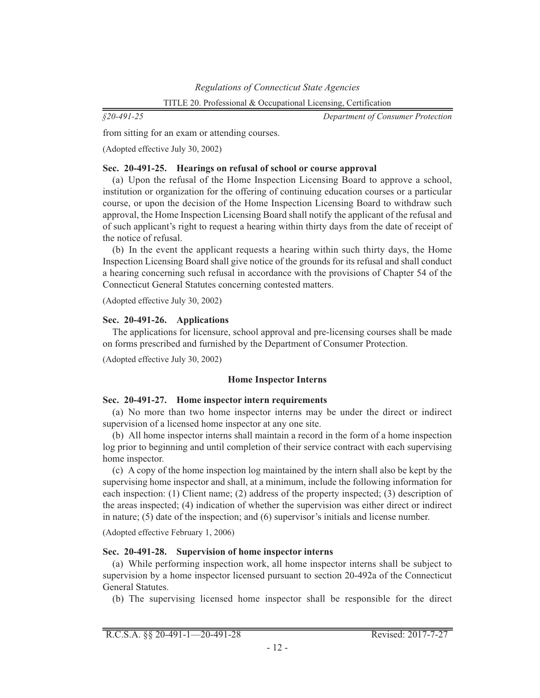*§20-491-25*

*Department of Consumer Protection*

from sitting for an exam or attending courses.

(Adopted effective July 30, 2002)

### **Sec. 20-491-25. Hearings on refusal of school or course approval**

(a) Upon the refusal of the Home Inspection Licensing Board to approve a school, institution or organization for the offering of continuing education courses or a particular course, or upon the decision of the Home Inspection Licensing Board to withdraw such approval, the Home Inspection Licensing Board shall notify the applicant of the refusal and of such applicant's right to request a hearing within thirty days from the date of receipt of the notice of refusal.

(b) In the event the applicant requests a hearing within such thirty days, the Home Inspection Licensing Board shall give notice of the grounds for its refusal and shall conduct a hearing concerning such refusal in accordance with the provisions of Chapter 54 of the Connecticut General Statutes concerning contested matters.

(Adopted effective July 30, 2002)

# **Sec. 20-491-26. Applications**

The applications for licensure, school approval and pre-licensing courses shall be made on forms prescribed and furnished by the Department of Consumer Protection.

(Adopted effective July 30, 2002)

### **Home Inspector Interns**

# **Sec. 20-491-27. Home inspector intern requirements**

(a) No more than two home inspector interns may be under the direct or indirect supervision of a licensed home inspector at any one site.

(b) All home inspector interns shall maintain a record in the form of a home inspection log prior to beginning and until completion of their service contract with each supervising home inspector.

(c) A copy of the home inspection log maintained by the intern shall also be kept by the supervising home inspector and shall, at a minimum, include the following information for each inspection: (1) Client name; (2) address of the property inspected; (3) description of the areas inspected; (4) indication of whether the supervision was either direct or indirect in nature; (5) date of the inspection; and (6) supervisor's initials and license number.

(Adopted effective February 1, 2006)

# **Sec. 20-491-28. Supervision of home inspector interns**

(a) While performing inspection work, all home inspector interns shall be subject to supervision by a home inspector licensed pursuant to section 20-492a of the Connecticut General Statutes.

(b) The supervising licensed home inspector shall be responsible for the direct